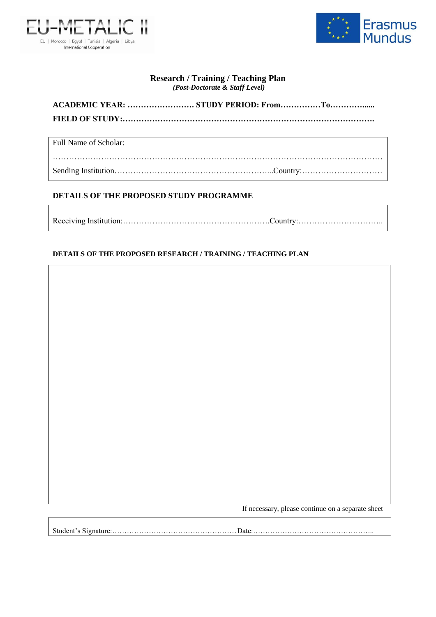



## **Research / Training / Teaching Plan** *(Post-Doctorate & Staff Level)*

Full Name of Scholar:

…………………………………………………………………………………………………………… Sending Institution…………………………………………………...Country:…………………………

## **DETAILS OF THE PROPOSED STUDY PROGRAMME**

Receiving Institution:……………………………………………….Country:…………………………..

## **DETAILS OF THE PROPOSED RESEARCH / TRAINING / TEACHING PLAN**

If necessary, please continue on a separate sheet

Student's Signature:……………………………………………Date:…………………………………………..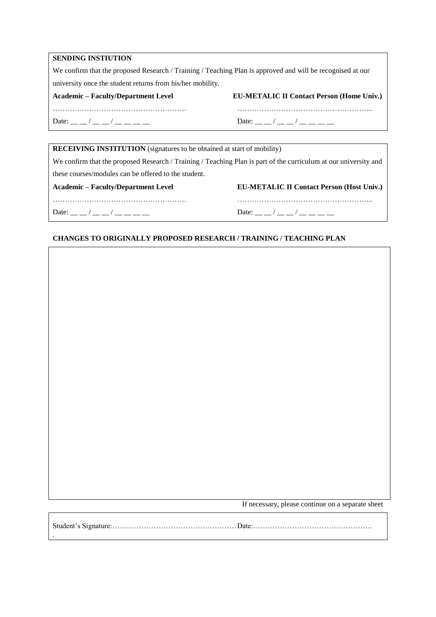We confirm that the proposed Research / Training / Teaching Plan is approved and will be recognised at our university once the student returns from his/her mobility.

|  | <b>Academic – Faculty/Department Level</b> |
|--|--------------------------------------------|
|  |                                            |

**EU-METALIC II Contact Person (Home Univ.)** 

………………………………………………. ……………………………………………….. Date: \_\_ \_/ \_\_ \_/ \_\_ \_\_ \_\_ \_\_ Date: \_ \_ \_/ \_\_ \_\_ / \_\_ \_\_ \_\_

| <b>RECEIVING INSTITUTION</b> (signatures to be obtained at start of mobility)                                    |  |
|------------------------------------------------------------------------------------------------------------------|--|
| We confirm that the proposed Research / Training / Teaching Plan is part of the curriculum at our university and |  |
|                                                                                                                  |  |
| <b>EU-METALIC II Contact Person (Host Univ.)</b>                                                                 |  |
|                                                                                                                  |  |
| Date: $\frac{1}{2}$ /                                                                                            |  |
|                                                                                                                  |  |

## **CHANGES TO ORIGINALLY PROPOSED RESEARCH / TRAINING / TEACHING PLAN**

If necessary, please continue on a separate sheet

Student's Signature:……………………………………………Date:…………………………………………. .